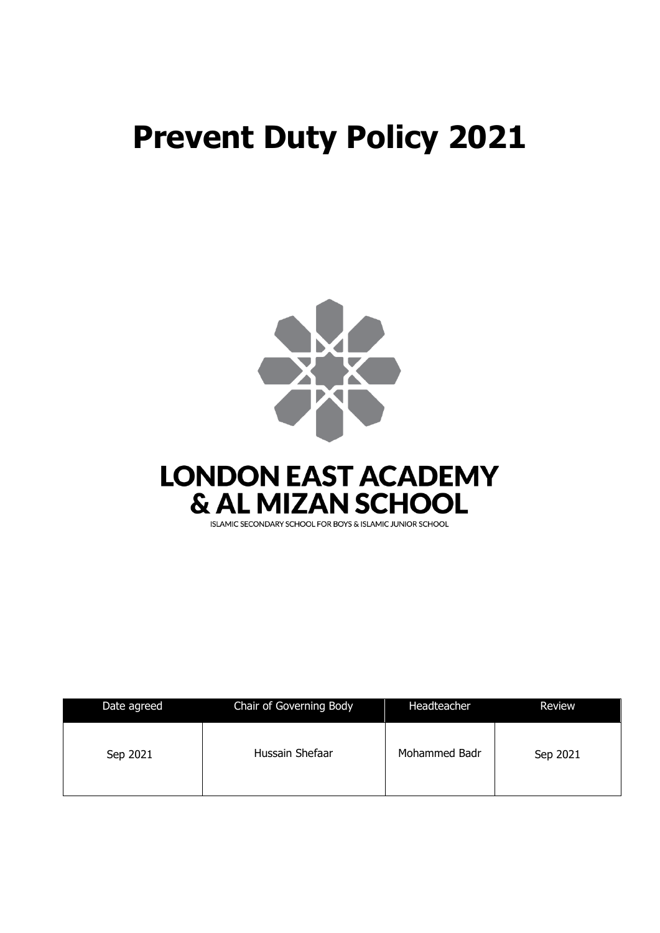# **Prevent Duty Policy 2021**



| Date agreed | Chair of Governing Body | Headteacher   | Review   |
|-------------|-------------------------|---------------|----------|
| Sep 2021    | Hussain Shefaar         | Mohammed Badr | Sep 2021 |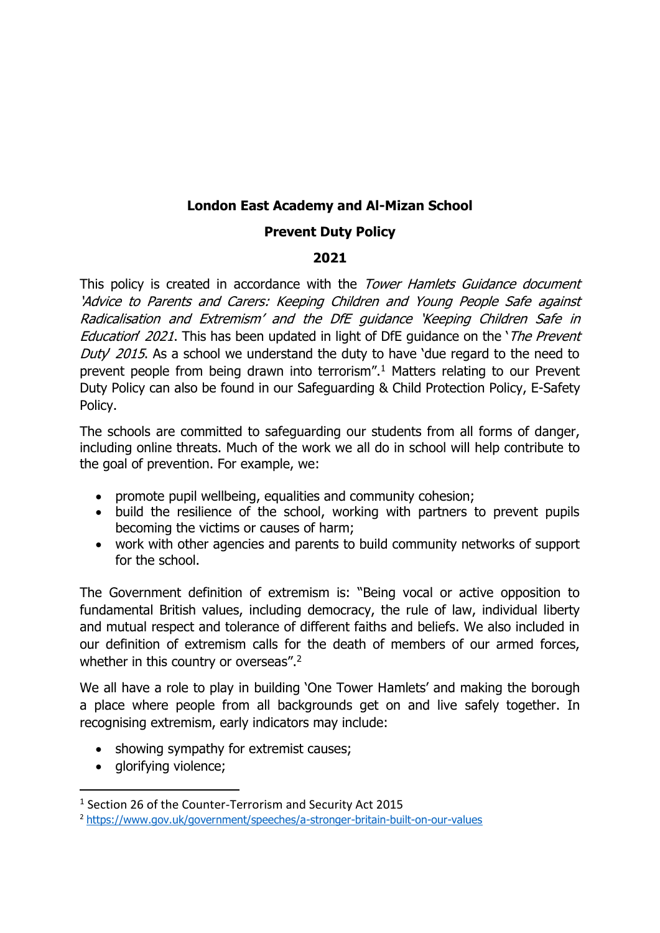# **London East Academy and Al-Mizan School**

### **Prevent Duty Policy**

#### **2021**

This policy is created in accordance with the Tower Hamlets Guidance document 'Advice to Parents and Carers: Keeping Children and Young People Safe against Radicalisation and Extremism' and the DfE guidance 'Keeping Children Safe in Education' 2021. This has been updated in light of DfE quidance on the '*The Prevent* Duty' 2015. As a school we understand the duty to have 'due regard to the need to prevent people from being drawn into terrorism".<sup>1</sup> Matters relating to our Prevent Duty Policy can also be found in our Safeguarding & Child Protection Policy, E-Safety Policy.

The schools are committed to safeguarding our students from all forms of danger, including online threats. Much of the work we all do in school will help contribute to the goal of prevention. For example, we:

- promote pupil wellbeing, equalities and community cohesion;
- build the resilience of the school, working with partners to prevent pupils becoming the victims or causes of harm;
- work with other agencies and parents to build community networks of support for the school.

The Government definition of extremism is: "Being vocal or active opposition to fundamental British values, including democracy, the rule of law, individual liberty and mutual respect and tolerance of different faiths and beliefs. We also included in our definition of extremism calls for the death of members of our armed forces, whether in this country or overseas".<sup>2</sup>

We all have a role to play in building 'One Tower Hamlets' and making the borough a place where people from all backgrounds get on and live safely together. In recognising extremism, early indicators may include:

- showing sympathy for extremist causes;
- glorifying violence;

<sup>1</sup> Section 26 of the Counter-Terrorism and Security Act 2015

<sup>2</sup> <https://www.gov.uk/government/speeches/a-stronger-britain-built-on-our-values>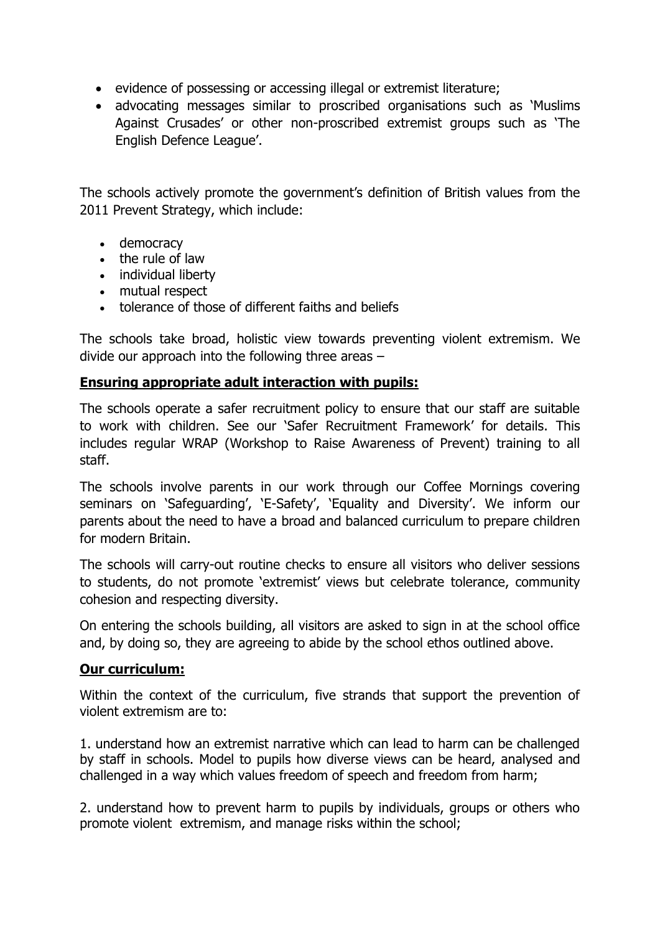- evidence of possessing or accessing illegal or extremist literature;
- advocating messages similar to proscribed organisations such as 'Muslims Against Crusades' or other non-proscribed extremist groups such as 'The English Defence League'.

The schools actively promote the government's definition of British values from the 2011 Prevent Strategy, which include:

- democracy
- the rule of law
- individual liberty
- mutual respect
- tolerance of those of different faiths and beliefs

The schools take broad, holistic view towards preventing violent extremism. We divide our approach into the following three areas –

#### **Ensuring appropriate adult interaction with pupils:**

The schools operate a safer recruitment policy to ensure that our staff are suitable to work with children. See our 'Safer Recruitment Framework' for details. This includes regular WRAP (Workshop to Raise Awareness of Prevent) training to all staff.

The schools involve parents in our work through our Coffee Mornings covering seminars on 'Safeguarding', 'E-Safety', 'Equality and Diversity'. We inform our parents about the need to have a broad and balanced curriculum to prepare children for modern Britain.

The schools will carry-out routine checks to ensure all visitors who deliver sessions to students, do not promote 'extremist' views but celebrate tolerance, community cohesion and respecting diversity.

On entering the schools building, all visitors are asked to sign in at the school office and, by doing so, they are agreeing to abide by the school ethos outlined above.

#### **Our curriculum:**

Within the context of the curriculum, five strands that support the prevention of violent extremism are to:

1. understand how an extremist narrative which can lead to harm can be challenged by staff in schools. Model to pupils how diverse views can be heard, analysed and challenged in a way which values freedom of speech and freedom from harm;

2. understand how to prevent harm to pupils by individuals, groups or others who promote violent extremism, and manage risks within the school;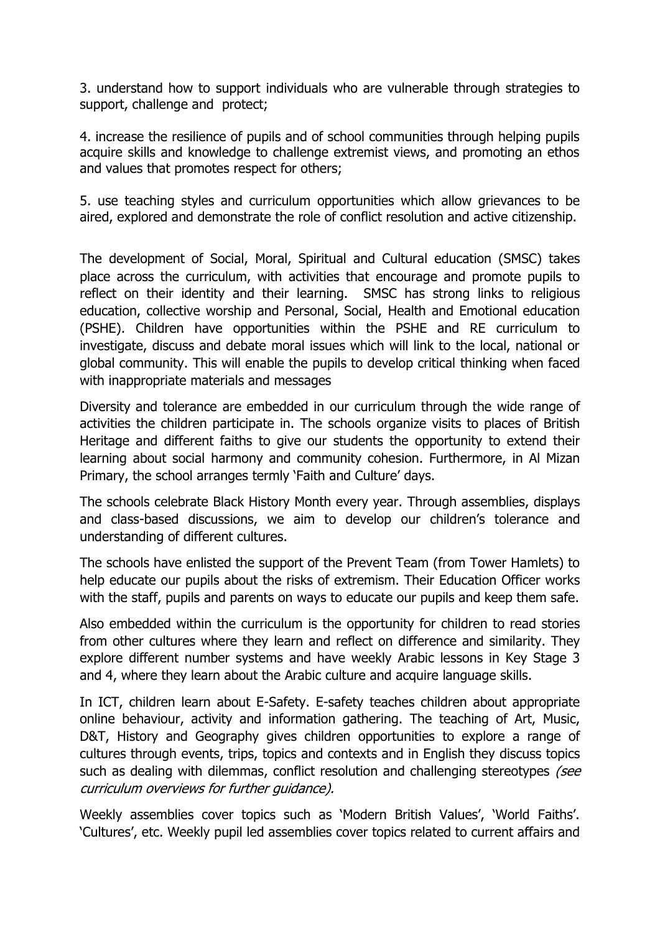3. understand how to support individuals who are vulnerable through strategies to support, challenge and protect;

4. increase the resilience of pupils and of school communities through helping pupils acquire skills and knowledge to challenge extremist views, and promoting an ethos and values that promotes respect for others;

5. use teaching styles and curriculum opportunities which allow grievances to be aired, explored and demonstrate the role of conflict resolution and active citizenship.

The development of Social, Moral, Spiritual and Cultural education (SMSC) takes place across the curriculum, with activities that encourage and promote pupils to reflect on their identity and their learning. SMSC has strong links to religious education, collective worship and Personal, Social, Health and Emotional education (PSHE). Children have opportunities within the PSHE and RE curriculum to investigate, discuss and debate moral issues which will link to the local, national or global community. This will enable the pupils to develop critical thinking when faced with inappropriate materials and messages

Diversity and tolerance are embedded in our curriculum through the wide range of activities the children participate in. The schools organize visits to places of British Heritage and different faiths to give our students the opportunity to extend their learning about social harmony and community cohesion. Furthermore, in Al Mizan Primary, the school arranges termly 'Faith and Culture' days.

The schools celebrate Black History Month every year. Through assemblies, displays and class-based discussions, we aim to develop our children's tolerance and understanding of different cultures.

The schools have enlisted the support of the Prevent Team (from Tower Hamlets) to help educate our pupils about the risks of extremism. Their Education Officer works with the staff, pupils and parents on ways to educate our pupils and keep them safe.

Also embedded within the curriculum is the opportunity for children to read stories from other cultures where they learn and reflect on difference and similarity. They explore different number systems and have weekly Arabic lessons in Key Stage 3 and 4, where they learn about the Arabic culture and acquire language skills.

In ICT, children learn about E-Safety. E-safety teaches children about appropriate online behaviour, activity and information gathering. The teaching of Art, Music, D&T, History and Geography gives children opportunities to explore a range of cultures through events, trips, topics and contexts and in English they discuss topics such as dealing with dilemmas, conflict resolution and challenging stereotypes (see curriculum overviews for further guidance).

Weekly assemblies cover topics such as 'Modern British Values', 'World Faiths'. 'Cultures', etc. Weekly pupil led assemblies cover topics related to current affairs and